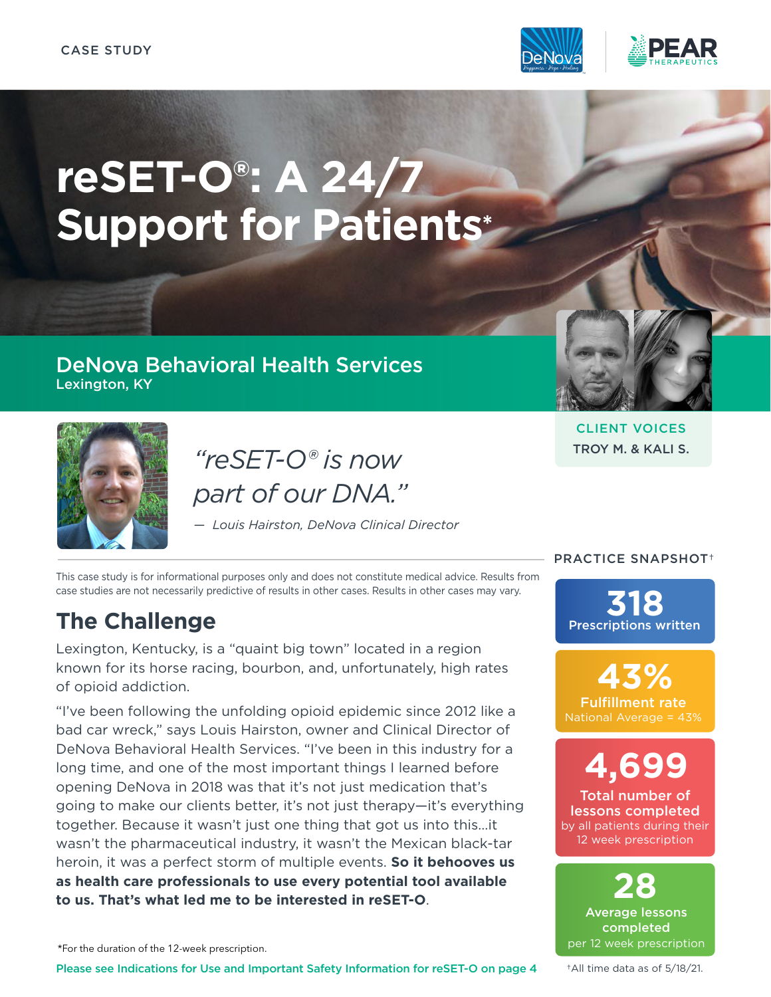

# **reSET-O®: A 24/7 Support for Patients\***

### DeNova Behavioral Health Services Lexington, KY



*"reSET-O® is now part of our DNA."*

*— Louis Hairston, DeNova Clinical Director*

This case study is for informational purposes only and does not constitute medical advice. Results from case studies are not necessarily predictive of results in other cases. Results in other cases may vary.

# **The Challenge**

Lexington, Kentucky, is a "quaint big town" located in a region known for its horse racing, bourbon, and, unfortunately, high rates of opioid addiction.

"I've been following the unfolding opioid epidemic since 2012 like a bad car wreck," says Louis Hairston, owner and Clinical Director of DeNova Behavioral Health Services. "I've been in this industry for a long time, and one of the most important things I learned before opening DeNova in 2018 was that it's not just medication that's going to make our clients better, it's not just therapy—it's everything together. Because it wasn't just one thing that got us into this…it wasn't the pharmaceutical industry, it wasn't the Mexican black-tar heroin, it was a perfect storm of multiple events. **So it behooves us as health care professionals to use every potential tool available to us. That's what led me to be interested in reSET-O**.

\*For the duration of the 12-week prescription.

Please see Indications for Use and Important Safety Information for reSE[T-](#page-3-0)O on page 4

CLIENT VOICES TROY M. & KALI S.

#### PRACTICE SNAPSHOT†

Prescriptions written **318**

Fulfillment rate National Average = 43% **43%**

Total number of lessons completed by all patients during their 12 week prescription **4,699**

Average lessons completed per 12 week prescription **28**

†All time data as of 5/18/21.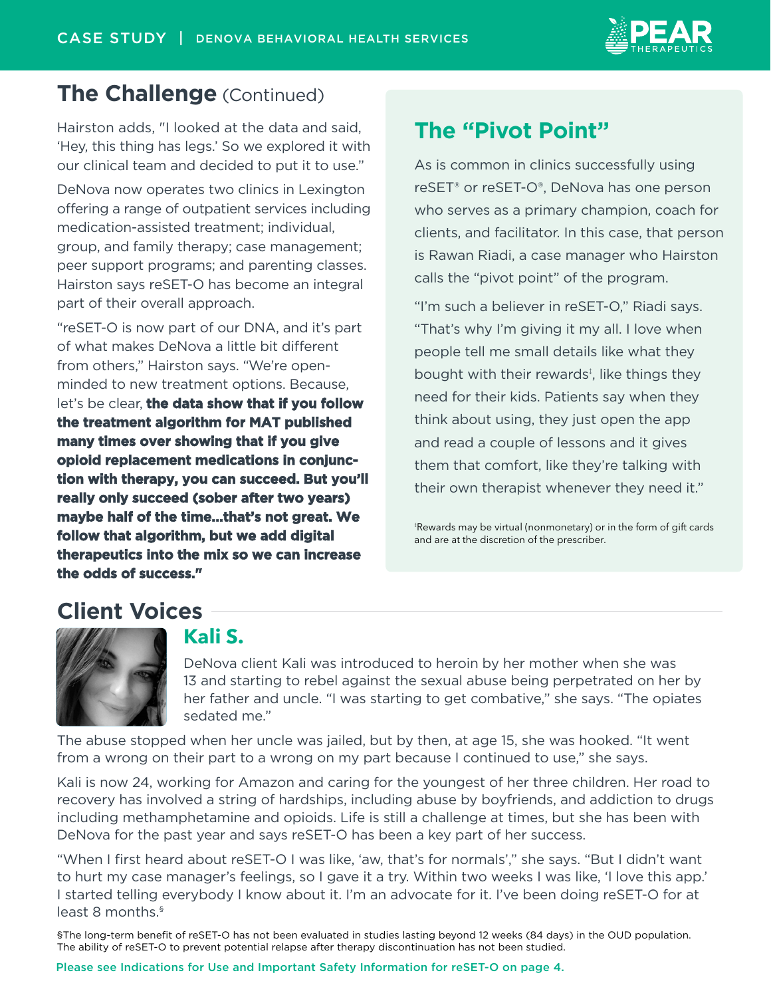

## **The Challenge** (Continued)

Hairston adds, "I looked at the data and said, 'Hey, this thing has legs.' So we explored it with our clinical team and decided to put it to use."

DeNova now operates two clinics in Lexington offering a range of outpatient services including medication-assisted treatment; individual, group, and family therapy; case management; peer support programs; and parenting classes. Hairston says reSET-O has become an integral part of their overall approach.

"reSET-O is now part of our DNA, and it's part of what makes DeNova a little bit different from others," Hairston says. "We're openminded to new treatment options. Because, let's be clear, **the data show that if you follow the treatment algorithm for MAT published many times over showing that if you give opioid replacement medications in conjunction with therapy, you can succeed. But you'll really only succeed (sober after two years) maybe half of the time…that's not great. We follow that algorithm, but we add digital therapeutics into the mix so we can increase the odds of success."**

## **The "Pivot Point"**

As is common in clinics successfully using reSET® or reSET-O®, DeNova has one person who serves as a primary champion, coach for clients, and facilitator. In this case, that person is Rawan Riadi, a case manager who Hairston calls the "pivot point" of the program.

"I'm such a believer in reSET-O," Riadi says. "That's why I'm giving it my all. I love when people tell me small details like what they bought with their rewards<sup>‡</sup>, like things they need for their kids. Patients say when they think about using, they just open the app and read a couple of lessons and it gives them that comfort, like they're talking with their own therapist whenever they need it."

‡ Rewards may be virtual (nonmonetary) or in the form of gift cards and are at the discretion of the prescriber.

## **Client Voices**



## **Kali S.**

DeNova client Kali was introduced to heroin by her mother when she was 13 and starting to rebel against the sexual abuse being perpetrated on her by her father and uncle. "I was starting to get combative," she says. "The opiates sedated me."

The abuse stopped when her uncle was jailed, but by then, at age 15, she was hooked. "It went from a wrong on their part to a wrong on my part because I continued to use," she says.

Kali is now 24, working for Amazon and caring for the youngest of her three children. Her road to recovery has involved a string of hardships, including abuse by boyfriends, and addiction to drugs including methamphetamine and opioids. Life is still a challenge at times, but she has been with DeNova for the past year and says reSET-O has been a key part of her success.

"When I first heard about reSET-O I was like, 'aw, that's for normals'," she says. "But I didn't want to hurt my case manager's feelings, so I gave it a try. Within two weeks I was like, 'I love this app.' I started telling everybody I know about it. I'm an advocate for it. I've been doing reSET-O for at least 8 months.<sup>§</sup>

§The long-term benefit of reSET-O has not been evaluated in studies lasting beyond 12 weeks (84 days) in the OUD population. The ability of reSET-O to prevent potential relapse after therapy discontinuation has not been studied.

[Please see Indications for Use and Important Safety Information for reSET-O on page 4.](#page-3-0)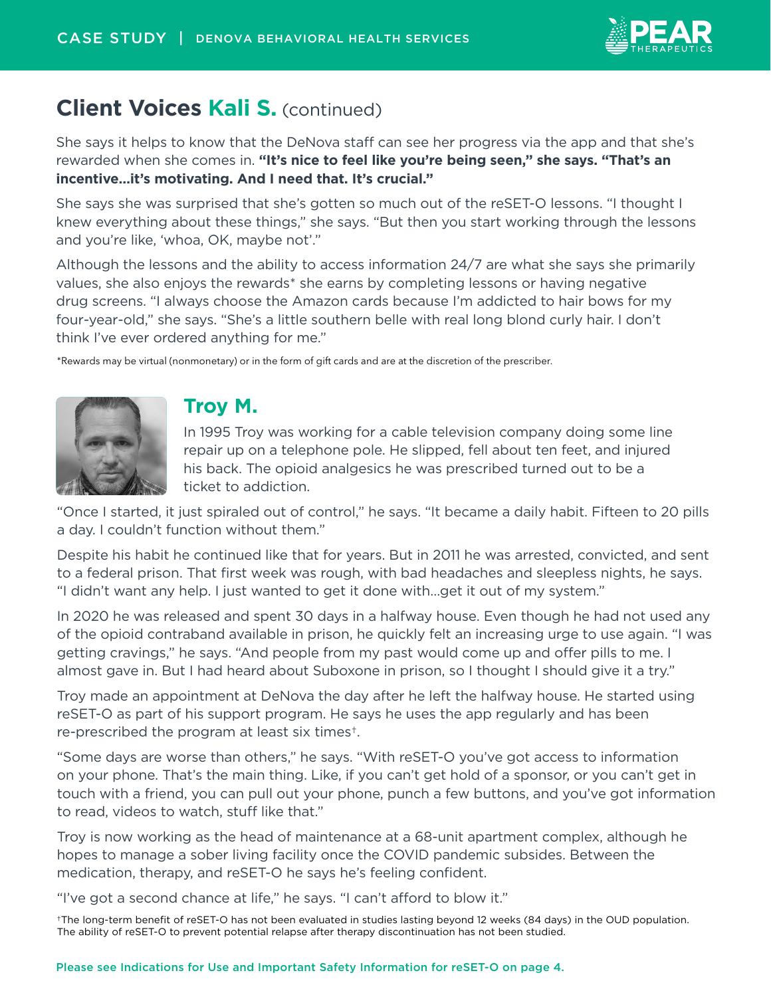

## **Client Voices Kali S.** (continued)

She says it helps to know that the DeNova staff can see her progress via the app and that she's rewarded when she comes in. **"It's nice to feel like you're being seen," she says. "That's an incentive…it's motivating. And I need that. It's crucial."**

She says she was surprised that she's gotten so much out of the reSET-O lessons. "I thought I knew everything about these things," she says. "But then you start working through the lessons and you're like, 'whoa, OK, maybe not'."

Although the lessons and the ability to access information 24/7 are what she says she primarily values, she also enjoys the rewards\* she earns by completing lessons or having negative drug screens. "I always choose the Amazon cards because I'm addicted to hair bows for my four-year-old," she says. "She's a little southern belle with real long blond curly hair. I don't think I've ever ordered anything for me."

\*Rewards may be virtual (nonmonetary) or in the form of gift cards and are at the discretion of the prescriber.



#### **Troy M.**

In 1995 Troy was working for a cable television company doing some line repair up on a telephone pole. He slipped, fell about ten feet, and injured his back. The opioid analgesics he was prescribed turned out to be a ticket to addiction.

"Once I started, it just spiraled out of control," he says. "It became a daily habit. Fifteen to 20 pills a day. I couldn't function without them."

Despite his habit he continued like that for years. But in 2011 he was arrested, convicted, and sent to a federal prison. That first week was rough, with bad headaches and sleepless nights, he says. "I didn't want any help. I just wanted to get it done with…get it out of my system."

In 2020 he was released and spent 30 days in a halfway house. Even though he had not used any of the opioid contraband available in prison, he quickly felt an increasing urge to use again. "I was getting cravings," he says. "And people from my past would come up and offer pills to me. I almost gave in. But I had heard about Suboxone in prison, so I thought I should give it a try."

Troy made an appointment at DeNova the day after he left the halfway house. He started using reSET-O as part of his support program. He says he uses the app regularly and has been re-prescribed the program at least six times†.

"Some days are worse than others," he says. "With reSET-O you've got access to information on your phone. That's the main thing. Like, if you can't get hold of a sponsor, or you can't get in touch with a friend, you can pull out your phone, punch a few buttons, and you've got information to read, videos to watch, stuff like that."

Troy is now working as the head of maintenance at a 68-unit apartment complex, although he hopes to manage a sober living facility once the COVID pandemic subsides. Between the medication, therapy, and reSET-O he says he's feeling confident.

"I've got a second chance at life," he says. "I can't afford to blow it."

†The long-term benefit of reSET-O has not been evaluated in studies lasting beyond 12 weeks (84 days) in the OUD population. The ability of reSET-O to prevent potential relapse after therapy discontinuation has not been studied.